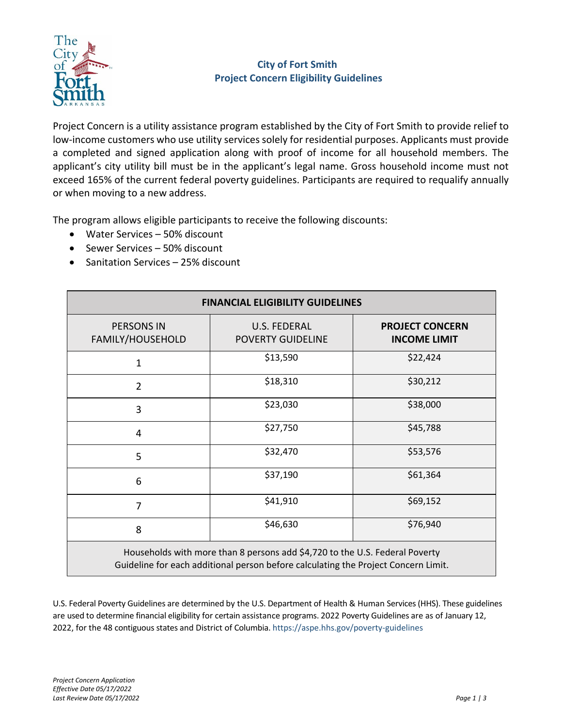

# **City of Fort Smith Project Concern Eligibility Guidelines**

Project Concern is a utility assistance program established by the City of Fort Smith to provide relief to low-income customers who use utility services solely for residential purposes. Applicants must provide a completed and signed application along with proof of income for all household members. The applicant's city utility bill must be in the applicant's legal name. Gross household income must not exceed 165% of the current federal poverty guidelines. Participants are required to requalify annually or when moving to a new address.

The program allows eligible participants to receive the following discounts:

- Water Services 50% discount
- Sewer Services 50% discount
- Sanitation Services 25% discount

| <b>FINANCIAL ELIGIBILITY GUIDELINES</b>                                                                                                                           |                                          |                                               |  |  |
|-------------------------------------------------------------------------------------------------------------------------------------------------------------------|------------------------------------------|-----------------------------------------------|--|--|
| <b>PERSONS IN</b><br>FAMILY/HOUSEHOLD                                                                                                                             | U.S. FEDERAL<br><b>POVERTY GUIDELINE</b> | <b>PROJECT CONCERN</b><br><b>INCOME LIMIT</b> |  |  |
| $\mathbf{1}$                                                                                                                                                      | \$13,590                                 | \$22,424                                      |  |  |
| $\overline{2}$                                                                                                                                                    | \$18,310                                 | \$30,212                                      |  |  |
| 3                                                                                                                                                                 | \$23,030                                 | \$38,000                                      |  |  |
| 4                                                                                                                                                                 | \$27,750                                 | \$45,788                                      |  |  |
| 5                                                                                                                                                                 | \$32,470                                 | \$53,576                                      |  |  |
| 6                                                                                                                                                                 | \$37,190                                 | \$61,364                                      |  |  |
| 7                                                                                                                                                                 | \$41,910                                 | \$69,152                                      |  |  |
| 8                                                                                                                                                                 | \$46,630                                 | \$76,940                                      |  |  |
| Households with more than 8 persons add \$4,720 to the U.S. Federal Poverty<br>Guideline for each additional person before calculating the Project Concern Limit. |                                          |                                               |  |  |

U.S. Federal Poverty Guidelines are determined by the U.S. Department of Health & Human Services(HHS). These guidelines are used to determine financial eligibility for certain assistance programs. 2022 Poverty Guidelines are as of January 12, 2022, for the 48 contiguous states and District of Columbia. https://aspe.hhs.gov/poverty‐guidelines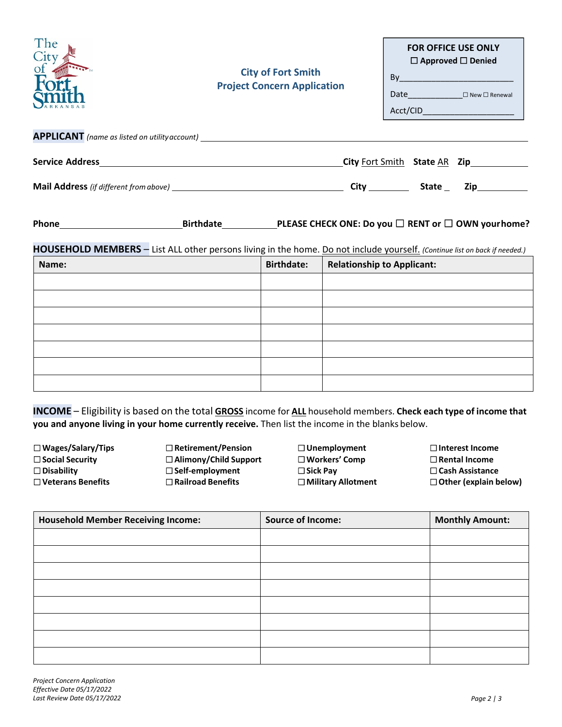| The<br>$City$ of                                                                 | <b>City of Fort Smith</b><br><b>Project Concern Application</b> | <b>FOR OFFICE USE ONLY</b><br>$\Box$ Approved $\Box$ Denied<br>By 2008 2009 2010 2021 2022 2023 2024 2022 2023 2024 2022 2023 2024 2022 2023 2024 2025 2026 2027 20<br>Acct/CID____________________ |
|----------------------------------------------------------------------------------|-----------------------------------------------------------------|-----------------------------------------------------------------------------------------------------------------------------------------------------------------------------------------------------|
| APPLICANT (name as listed on utility account) __________________________________ |                                                                 |                                                                                                                                                                                                     |
|                                                                                  |                                                                 | <b>City</b> Fort Smith State AR Zip                                                                                                                                                                 |
|                                                                                  |                                                                 | State<br><b>Zip</b>                                                                                                                                                                                 |

| Phone | <b>Birthdate</b> | PLEASE CHECK ONE: Do you $\square$ RENT or $\square$ OWN your home? |
|-------|------------------|---------------------------------------------------------------------|
|-------|------------------|---------------------------------------------------------------------|

# **HOUSEHOLD MEMBERS** – List ALL other persons living in the home. Do not include yourself. *(Continue list on back if needed.)*

| Name: | <b>Birthdate:</b> | <b>Relationship to Applicant:</b> |
|-------|-------------------|-----------------------------------|
|       |                   |                                   |
|       |                   |                                   |
|       |                   |                                   |
|       |                   |                                   |
|       |                   |                                   |
|       |                   |                                   |
|       |                   |                                   |

**INCOME** – Eligibility is based on the total **GROSS** income for **ALL** household members. **Check each type of income that you and anyone living in your home currently receive.** Then list the income in the blanks below.

☐**Wages/Salary/Tips** ☐**Social Security** ☐**Disability** ☐**Veterans Benefits**

☐**Retirement/Pension** ☐**Alimony/Child Support** ☐**Self‐employment** ☐**Railroad Benefits**

☐**Unemployment** ☐**Workers' Comp** ☐**Sick Pay** ☐**Military Allotment** ☐**Interest Income** ☐**Rental Income** ☐**Cash Assistance** ☐**Other (explain below)**

| <b>Household Member Receiving Income:</b> | <b>Source of Income:</b> | <b>Monthly Amount:</b> |
|-------------------------------------------|--------------------------|------------------------|
|                                           |                          |                        |
|                                           |                          |                        |
|                                           |                          |                        |
|                                           |                          |                        |
|                                           |                          |                        |
|                                           |                          |                        |
|                                           |                          |                        |
|                                           |                          |                        |